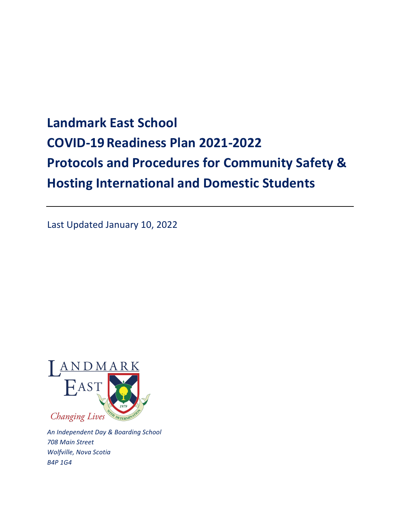# **Landmark East School COVID-19Readiness Plan 2021-2022 Protocols and Procedures for Community Safety & Hosting International and Domestic Students**

Last Updated January 10, 2022



*An Independent Day & Boarding School 708 Main Street Wolfville, Nova Scotia B4P 1G4*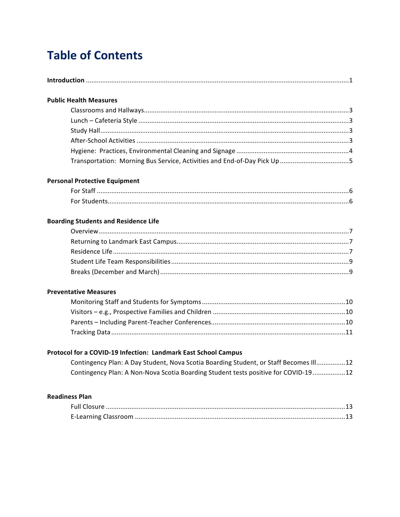## **Table of Contents**

#### **Public Health Measures**

#### **Personal Protective Equipment**

#### **Boarding Students and Residence Life**

#### **Preventative Measures**

### Protocol for a COVID-19 Infection: Landmark East School Campus

| Contingency Plan: A Day Student, Nova Scotia Boarding Student, or Staff Becomes III12 |  |
|---------------------------------------------------------------------------------------|--|
| Contingency Plan: A Non-Nova Scotia Boarding Student tests positive for COVID-19  12  |  |

#### **Readiness Plan**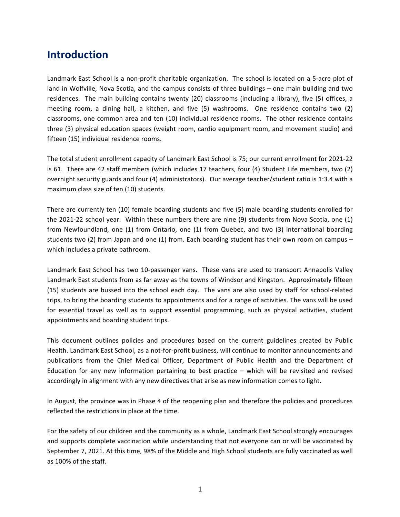## **Introduction**

Landmark East School is a non-profit charitable organization. The school is located on a 5-acre plot of land in Wolfville, Nova Scotia, and the campus consists of three buildings – one main building and two residences. The main building contains twenty (20) classrooms (including a library), five (5) offices, a meeting room, a dining hall, a kitchen, and five (5) washrooms. One residence contains two (2) classrooms, one common area and ten (10) individual residence rooms. The other residence contains three (3) physical education spaces (weight room, cardio equipment room, and movement studio) and fifteen (15) individual residence rooms.

The total student enrollment capacity of Landmark East School is 75; our current enrollment for 2021-22 is 61. There are 42 staff members (which includes 17 teachers, four (4) Student Life members, two (2) overnight security guards and four (4) administrators). Our average teacher/student ratio is 1:3.4 with a maximum class size of ten (10) students.

There are currently ten (10) female boarding students and five (5) male boarding students enrolled for the  $2021-22$  school year. Within these numbers there are nine  $(9)$  students from Nova Scotia, one  $(1)$ from Newfoundland, one (1) from Ontario, one (1) from Quebec, and two (3) international boarding students two (2) from Japan and one (1) from. Each boarding student has their own room on campus – which includes a private bathroom.

Landmark East School has two 10-passenger vans. These vans are used to transport Annapolis Valley Landmark East students from as far away as the towns of Windsor and Kingston. Approximately fifteen (15) students are bussed into the school each day. The vans are also used by staff for school-related trips, to bring the boarding students to appointments and for a range of activities. The vans will be used for essential travel as well as to support essential programming, such as physical activities, student appointments and boarding student trips.

This document outlines policies and procedures based on the current guidelines created by Public Health. Landmark East School, as a not-for-profit business, will continue to monitor announcements and publications from the Chief Medical Officer, Department of Public Health and the Department of Education for any new information pertaining to best practice  $-$  which will be revisited and revised accordingly in alignment with any new directives that arise as new information comes to light.

In August, the province was in Phase 4 of the reopening plan and therefore the policies and procedures reflected the restrictions in place at the time.

For the safety of our children and the community as a whole, Landmark East School strongly encourages and supports complete vaccination while understanding that not everyone can or will be vaccinated by September 7, 2021. At this time, 98% of the Middle and High School students are fully vaccinated as well as 100% of the staff.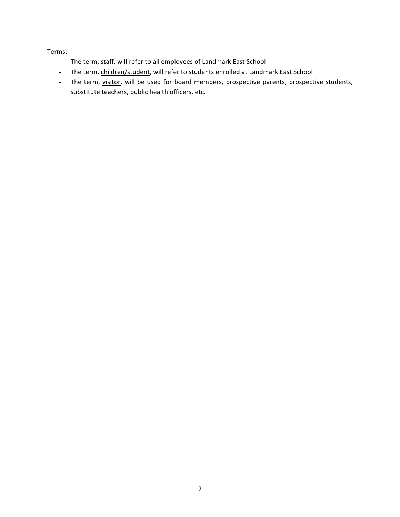#### Terms:

- The term, staff, will refer to all employees of Landmark East School
- The term, children/student, will refer to students enrolled at Landmark East School
- The term, visitor, will be used for board members, prospective parents, prospective students, substitute teachers, public health officers, etc.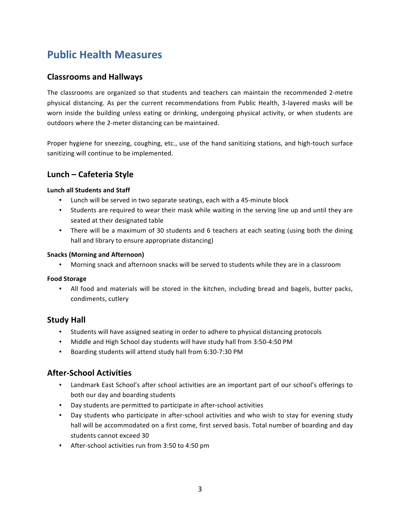## **Public Health Measures**

## **Classrooms and Hallways**

The classrooms are organized so that students and teachers can maintain the recommended 2-metre physical distancing. As per the current recommendations from Public Health, 3-layered masks will be worn inside the building unless eating or drinking, undergoing physical activity, or when students are outdoors where the 2-meter distancing can be maintained.

Proper hygiene for sneezing, coughing, etc., use of the hand sanitizing stations, and high-touch surface sanitizing will continue to be implemented.

## **Lunch – Cafeteria Style**

#### **Lunch all Students and Staff**

- Lunch will be served in two separate seatings, each with a 45-minute block
- Students are required to wear their mask while waiting in the serving line up and until they are seated at their designated table
- There will be a maximum of 30 students and 6 teachers at each seating (using both the dining hall and library to ensure appropriate distancing)

#### **Snacks (Morning and Afternoon)**

• Morning snack and afternoon snacks will be served to students while they are in a classroom

#### **Food Storage**

• All food and materials will be stored in the kitchen, including bread and bagels, butter packs, condiments, cutlery

## **Study Hall**

- Students will have assigned seating in order to adhere to physical distancing protocols
- Middle and High School day students will have study hall from 3:50-4:50 PM
- Boarding students will attend study hall from 6:30-7:30 PM

## **After-School Activities**

- Landmark East School's after school activities are an important part of our school's offerings to both our day and boarding students
- Day students are permitted to participate in after-school activities
- Day students who participate in after-school activities and who wish to stay for evening study hall will be accommodated on a first come, first served basis. Total number of boarding and day students cannot exceed 30
- After-school activities run from 3:50 to 4:50 pm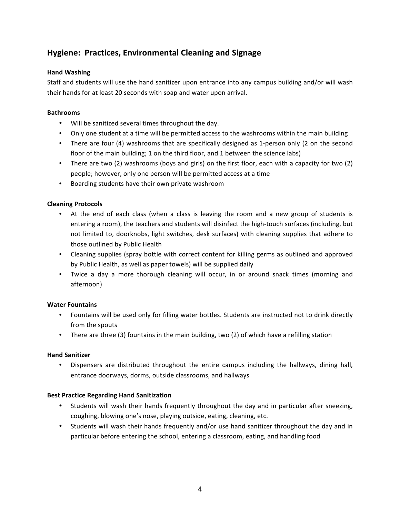## **Hygiene: Practices, Environmental Cleaning and Signage**

#### **Hand Washing**

Staff and students will use the hand sanitizer upon entrance into any campus building and/or will wash their hands for at least 20 seconds with soap and water upon arrival.

#### **Bathrooms**

- Will be sanitized several times throughout the day.
- Only one student at a time will be permitted access to the washrooms within the main building
- There are four (4) washrooms that are specifically designed as 1-person only (2 on the second floor of the main building; 1 on the third floor, and 1 between the science labs)
- There are two (2) washrooms (boys and girls) on the first floor, each with a capacity for two (2) people; however, only one person will be permitted access at a time
- Boarding students have their own private washroom

#### **Cleaning Protocols**

- At the end of each class (when a class is leaving the room and a new group of students is entering a room), the teachers and students will disinfect the high-touch surfaces (including, but not limited to, doorknobs, light switches, desk surfaces) with cleaning supplies that adhere to those outlined by Public Health
- Cleaning supplies (spray bottle with correct content for killing germs as outlined and approved by Public Health, as well as paper towels) will be supplied daily
- Twice a day a more thorough cleaning will occur, in or around snack times (morning and afternoon)

#### **Water Fountains**

- Fountains will be used only for filling water bottles. Students are instructed not to drink directly from the spouts
- There are three (3) fountains in the main building, two (2) of which have a refilling station

#### **Hand Sanitizer**

• Dispensers are distributed throughout the entire campus including the hallways, dining hall, entrance doorways, dorms, outside classrooms, and hallways

#### **Best Practice Regarding Hand Sanitization**

- Students will wash their hands frequently throughout the day and in particular after sneezing, coughing, blowing one's nose, playing outside, eating, cleaning, etc.
- Students will wash their hands frequently and/or use hand sanitizer throughout the day and in particular before entering the school, entering a classroom, eating, and handling food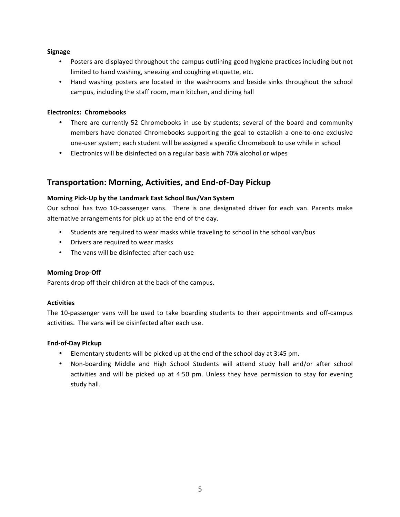#### **Signage**

- Posters are displayed throughout the campus outlining good hygiene practices including but not limited to hand washing, sneezing and coughing etiquette, etc.
- Hand washing posters are located in the washrooms and beside sinks throughout the school campus, including the staff room, main kitchen, and dining hall

#### **Electronics: Chromebooks**

- There are currently 52 Chromebooks in use by students; several of the board and community members have donated Chromebooks supporting the goal to establish a one-to-one exclusive one-user system; each student will be assigned a specific Chromebook to use while in school
- Electronics will be disinfected on a regular basis with 70% alcohol or wipes

## **Transportation: Morning, Activities, and End-of-Day Pickup**

#### **Morning Pick-Up by the Landmark East School Bus/Van System**

Our school has two 10-passenger vans. There is one designated driver for each van. Parents make alternative arrangements for pick up at the end of the day.

- Students are required to wear masks while traveling to school in the school van/bus
- Drivers are required to wear masks
- The vans will be disinfected after each use

#### **Morning Drop-Off**

Parents drop off their children at the back of the campus.

#### **Activities**

The 10-passenger vans will be used to take boarding students to their appointments and off-campus activities. The vans will be disinfected after each use.

#### **End-of-Day Pickup**

- Elementary students will be picked up at the end of the school day at 3:45 pm.
- Non-boarding Middle and High School Students will attend study hall and/or after school activities and will be picked up at 4:50 pm. Unless they have permission to stay for evening study hall.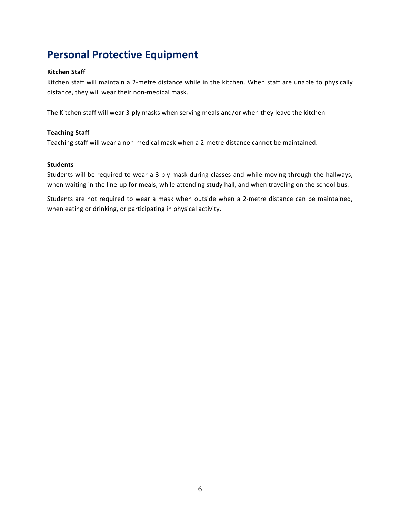## **Personal Protective Equipment**

#### **Kitchen Staff**

Kitchen staff will maintain a 2-metre distance while in the kitchen. When staff are unable to physically distance, they will wear their non-medical mask.

The Kitchen staff will wear 3-ply masks when serving meals and/or when they leave the kitchen

#### **Teaching Staff**

Teaching staff will wear a non-medical mask when a 2-metre distance cannot be maintained.

#### **Students**

Students will be required to wear a 3-ply mask during classes and while moving through the hallways, when waiting in the line-up for meals, while attending study hall, and when traveling on the school bus.

Students are not required to wear a mask when outside when a 2-metre distance can be maintained, when eating or drinking, or participating in physical activity.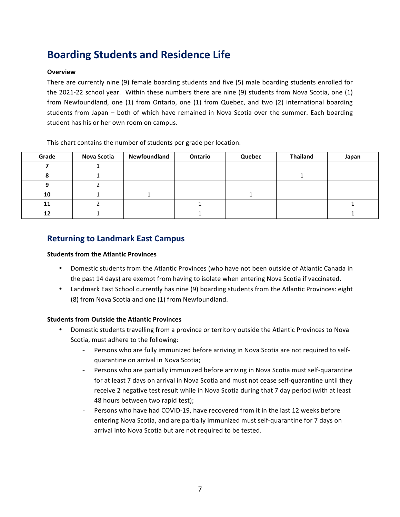## **Boarding Students and Residence Life**

#### **Overview**

There are currently nine (9) female boarding students and five (5) male boarding students enrolled for the  $2021-22$  school year. Within these numbers there are nine  $(9)$  students from Nova Scotia, one  $(1)$ from Newfoundland, one (1) from Ontario, one (1) from Quebec, and two (2) international boarding students from Japan – both of which have remained in Nova Scotia over the summer. Each boarding student has his or her own room on campus.

This chart contains the number of students per grade per location.

| Grade | Nova Scotia | Newfoundland | Ontario | Quebec | <b>Thailand</b> | Japan |
|-------|-------------|--------------|---------|--------|-----------------|-------|
|       |             |              |         |        |                 |       |
|       |             |              |         |        |                 |       |
|       |             |              |         |        |                 |       |
| 10    |             |              |         |        |                 |       |
| 11    |             |              |         |        |                 |       |
| 12    |             |              |         |        |                 |       |

### **Returning to Landmark East Campus**

#### **Students from the Atlantic Provinces**

- Domestic students from the Atlantic Provinces (who have not been outside of Atlantic Canada in the past 14 days) are exempt from having to isolate when entering Nova Scotia if vaccinated.
- Landmark East School currently has nine (9) boarding students from the Atlantic Provinces: eight (8) from Nova Scotia and one (1) from Newfoundland.

#### **Students from Outside the Atlantic Provinces**

- Domestic students travelling from a province or territory outside the Atlantic Provinces to Nova Scotia, must adhere to the following:
	- Persons who are fully immunized before arriving in Nova Scotia are not required to selfquarantine on arrival in Nova Scotia;
	- Persons who are partially immunized before arriving in Nova Scotia must self-quarantine for at least 7 days on arrival in Nova Scotia and must not cease self-quarantine until they receive 2 negative test result while in Nova Scotia during that 7 day period (with at least 48 hours between two rapid test);
	- Persons who have had COVID-19, have recovered from it in the last 12 weeks before entering Nova Scotia, and are partially immunized must self-quarantine for 7 days on arrival into Nova Scotia but are not required to be tested.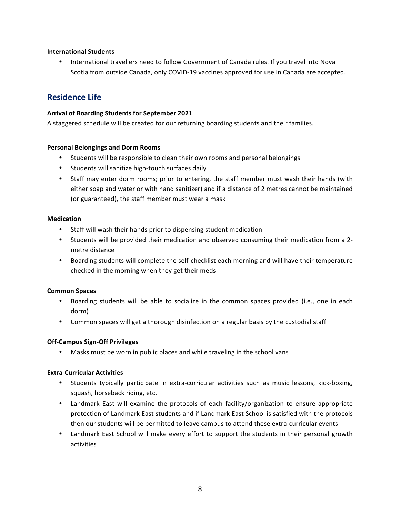#### **International Students**

International travellers need to follow Government of Canada rules. If you travel into Nova Scotia from outside Canada, only COVID-19 vaccines approved for use in Canada are accepted.

### **Residence Life**

#### Arrival of Boarding Students for September 2021

A staggered schedule will be created for our returning boarding students and their families.

#### **Personal Belongings and Dorm Rooms**

- Students will be responsible to clean their own rooms and personal belongings
- Students will sanitize high-touch surfaces daily
- Staff may enter dorm rooms; prior to entering, the staff member must wash their hands (with either soap and water or with hand sanitizer) and if a distance of 2 metres cannot be maintained (or guaranteed), the staff member must wear a mask

#### **Medication**

- Staff will wash their hands prior to dispensing student medication
- Students will be provided their medication and observed consuming their medication from a 2metre distance
- Boarding students will complete the self-checklist each morning and will have their temperature checked in the morning when they get their meds

#### **Common Spaces**

- Boarding students will be able to socialize in the common spaces provided (i.e., one in each dorm)
- Common spaces will get a thorough disinfection on a regular basis by the custodial staff

#### **Off-Campus Sign-Off Privileges**

• Masks must be worn in public places and while traveling in the school vans

#### **Extra-Curricular Activities**

- Students typically participate in extra-curricular activities such as music lessons, kick-boxing, squash, horseback riding, etc.
- Landmark East will examine the protocols of each facility/organization to ensure appropriate protection of Landmark East students and if Landmark East School is satisfied with the protocols then our students will be permitted to leave campus to attend these extra-curricular events
- Landmark East School will make every effort to support the students in their personal growth activities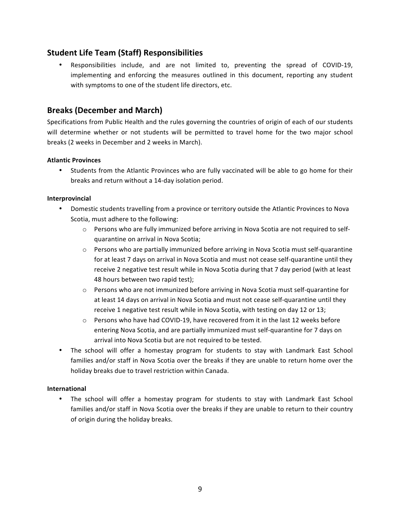## **Student Life Team (Staff) Responsibilities**

Responsibilities include, and are not limited to, preventing the spread of COVID-19, implementing and enforcing the measures outlined in this document, reporting any student with symptoms to one of the student life directors, etc.

## Breaks (December and March)

Specifications from Public Health and the rules governing the countries of origin of each of our students will determine whether or not students will be permitted to travel home for the two major school breaks (2 weeks in December and 2 weeks in March).

#### **Atlantic Provinces**

• Students from the Atlantic Provinces who are fully vaccinated will be able to go home for their breaks and return without a 14-day isolation period.

#### **Interprovincial**

- Domestic students travelling from a province or territory outside the Atlantic Provinces to Nova Scotia, must adhere to the following:
	- $\circ$  Persons who are fully immunized before arriving in Nova Scotia are not required to selfquarantine on arrival in Nova Scotia;
	- $\circ$  Persons who are partially immunized before arriving in Nova Scotia must self-quarantine for at least 7 days on arrival in Nova Scotia and must not cease self-quarantine until they receive 2 negative test result while in Nova Scotia during that 7 day period (with at least 48 hours between two rapid test);
	- $\circ$  Persons who are not immunized before arriving in Nova Scotia must self-quarantine for at least 14 days on arrival in Nova Scotia and must not cease self-quarantine until they receive 1 negative test result while in Nova Scotia, with testing on day 12 or 13;
	- $\circ$  Persons who have had COVID-19, have recovered from it in the last 12 weeks before entering Nova Scotia, and are partially immunized must self-quarantine for 7 days on arrival into Nova Scotia but are not required to be tested.
- The school will offer a homestay program for students to stay with Landmark East School families and/or staff in Nova Scotia over the breaks if they are unable to return home over the holiday breaks due to travel restriction within Canada.

#### **International**

The school will offer a homestay program for students to stay with Landmark East School families and/or staff in Nova Scotia over the breaks if they are unable to return to their country of origin during the holiday breaks.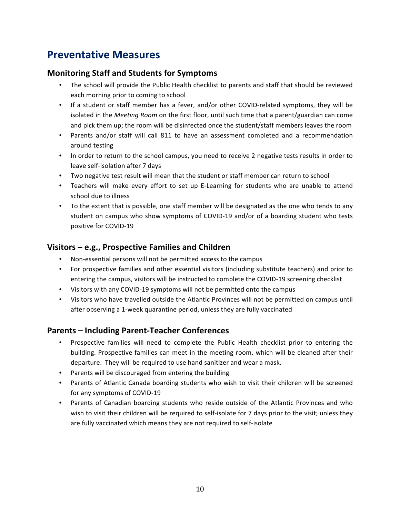## **Preventative Measures**

### **Monitoring Staff and Students for Symptoms**

- The school will provide the Public Health checklist to parents and staff that should be reviewed each morning prior to coming to school
- If a student or staff member has a fever, and/or other COVID-related symptoms, they will be isolated in the *Meeting Room* on the first floor, until such time that a parent/guardian can come and pick them up; the room will be disinfected once the student/staff members leaves the room
- Parents and/or staff will call 811 to have an assessment completed and a recommendation around testing
- In order to return to the school campus, you need to receive 2 negative tests results in order to leave self-isolation after 7 days
- Two negative test result will mean that the student or staff member can return to school
- Teachers will make every effort to set up E-Learning for students who are unable to attend school due to illness
- To the extent that is possible, one staff member will be designated as the one who tends to any student on campus who show symptoms of COVID-19 and/or of a boarding student who tests positive for COVID-19

## **Visitors – e.g., Prospective Families and Children**

- Non-essential persons will not be permitted access to the campus
- For prospective families and other essential visitors (including substitute teachers) and prior to entering the campus, visitors will be instructed to complete the COVID-19 screening checklist
- Visitors with any COVID-19 symptoms will not be permitted onto the campus
- Visitors who have travelled outside the Atlantic Provinces will not be permitted on campus until after observing a 1-week quarantine period, unless they are fully vaccinated

## **Parents – Including Parent-Teacher Conferences**

- Prospective families will need to complete the Public Health checklist prior to entering the building. Prospective families can meet in the meeting room, which will be cleaned after their departure. They will be required to use hand sanitizer and wear a mask.
- Parents will be discouraged from entering the building
- Parents of Atlantic Canada boarding students who wish to visit their children will be screened for any symptoms of COVID-19
- Parents of Canadian boarding students who reside outside of the Atlantic Provinces and who wish to visit their children will be required to self-isolate for 7 days prior to the visit; unless they are fully vaccinated which means they are not required to self-isolate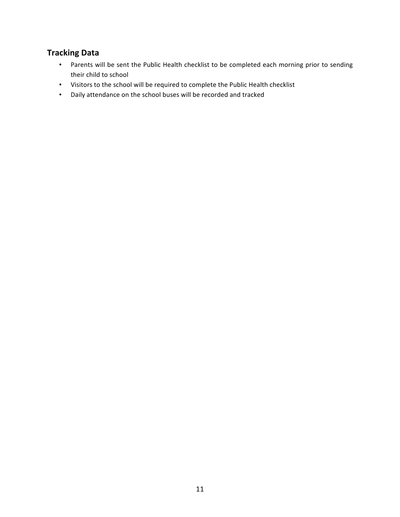## **Tracking Data**

- Parents will be sent the Public Health checklist to be completed each morning prior to sending their child to school
- Visitors to the school will be required to complete the Public Health checklist
- Daily attendance on the school buses will be recorded and tracked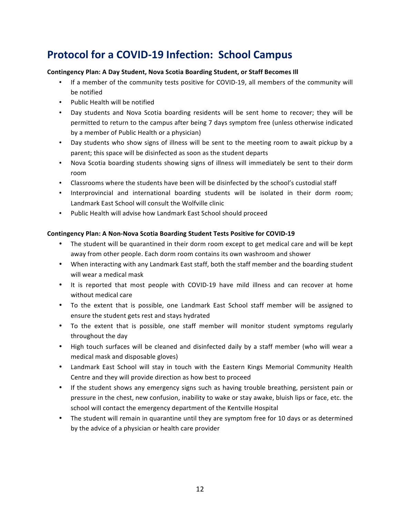## **Protocol for a COVID-19 Infection: School Campus**

#### **Contingency Plan: A Day Student, Nova Scotia Boarding Student, or Staff Becomes III**

- If a member of the community tests positive for COVID-19, all members of the community will be notified
- Public Health will be notified
- Day students and Nova Scotia boarding residents will be sent home to recover; they will be permitted to return to the campus after being 7 days symptom free (unless otherwise indicated by a member of Public Health or a physician)
- Day students who show signs of illness will be sent to the meeting room to await pickup by a parent; this space will be disinfected as soon as the student departs
- Nova Scotia boarding students showing signs of illness will immediately be sent to their dorm room
- Classrooms where the students have been will be disinfected by the school's custodial staff
- Interprovincial and international boarding students will be isolated in their dorm room; Landmark East School will consult the Wolfville clinic
- Public Health will advise how Landmark East School should proceed

#### Contingency Plan: A Non-Nova Scotia Boarding Student Tests Positive for COVID-19

- The student will be quarantined in their dorm room except to get medical care and will be kept away from other people. Each dorm room contains its own washroom and shower
- When interacting with any Landmark East staff, both the staff member and the boarding student will wear a medical mask
- It is reported that most people with COVID-19 have mild illness and can recover at home without medical care
- To the extent that is possible, one Landmark East School staff member will be assigned to ensure the student gets rest and stays hydrated
- To the extent that is possible, one staff member will monitor student symptoms regularly throughout the day
- High touch surfaces will be cleaned and disinfected daily by a staff member (who will wear a medical mask and disposable gloves)
- Landmark East School will stay in touch with the Eastern Kings Memorial Community Health Centre and they will provide direction as how best to proceed
- If the student shows any emergency signs such as having trouble breathing, persistent pain or pressure in the chest, new confusion, inability to wake or stay awake, bluish lips or face, etc. the school will contact the emergency department of the Kentville Hospital
- The student will remain in quarantine until they are symptom free for 10 days or as determined by the advice of a physician or health care provider